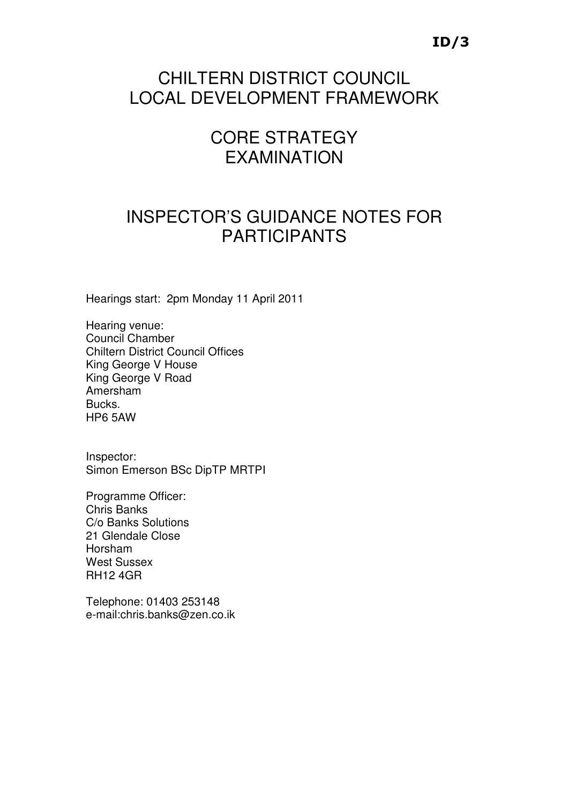## CHILTERN DISTRICT COUNCIL LOCAL DEVELOPMENT FRAMEWORK

# CORE STRATEGY EXAMINATION

## INSPECTOR'S GUIDANCE NOTES FOR PARTICIPANTS

Hearings start: 2pm Monday 11 April 2011

Hearing venue: Council Chamber Chiltern District Council Offices King George V House King George V Road Amersham Bucks. HP6 5AW

Inspector: Simon Emerson BSc DipTP MRTPI

Programme Officer: Chris Banks C/o Banks Solutions 21 Glendale Close Horsham West Sussex RH12 4GR

Telephone: 01403 253148 e-mail:chris.banks@zen.co.ik

## ID/3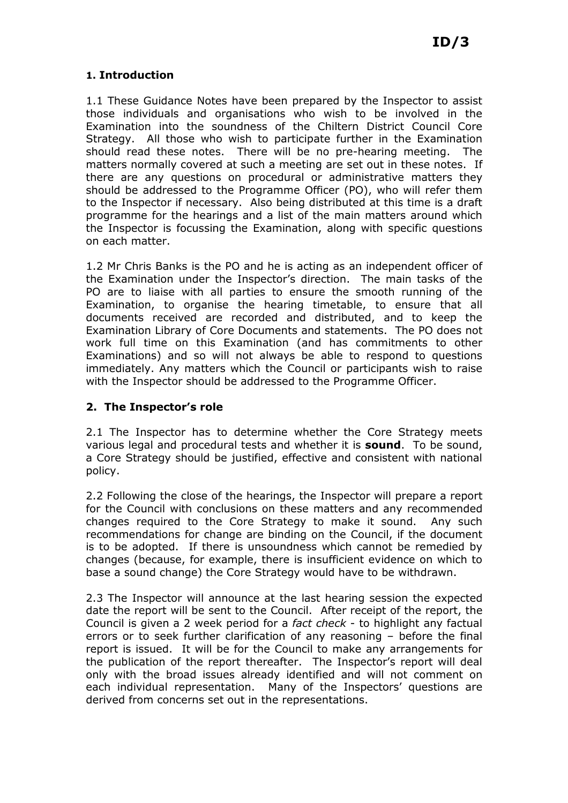## 1. Introduction

1.1 These Guidance Notes have been prepared by the Inspector to assist those individuals and organisations who wish to be involved in the Examination into the soundness of the Chiltern District Council Core Strategy. All those who wish to participate further in the Examination should read these notes. There will be no pre-hearing meeting. The matters normally covered at such a meeting are set out in these notes. If there are any questions on procedural or administrative matters they should be addressed to the Programme Officer (PO), who will refer them to the Inspector if necessary. Also being distributed at this time is a draft programme for the hearings and a list of the main matters around which the Inspector is focussing the Examination, along with specific questions on each matter.

1.2 Mr Chris Banks is the PO and he is acting as an independent officer of the Examination under the Inspector's direction. The main tasks of the PO are to liaise with all parties to ensure the smooth running of the Examination, to organise the hearing timetable, to ensure that all documents received are recorded and distributed, and to keep the Examination Library of Core Documents and statements. The PO does not work full time on this Examination (and has commitments to other Examinations) and so will not always be able to respond to questions immediately. Any matters which the Council or participants wish to raise with the Inspector should be addressed to the Programme Officer.

## 2. The Inspector's role

2.1 The Inspector has to determine whether the Core Strategy meets various legal and procedural tests and whether it is **sound**. To be sound, a Core Strategy should be justified, effective and consistent with national policy.

2.2 Following the close of the hearings, the Inspector will prepare a report for the Council with conclusions on these matters and any recommended changes required to the Core Strategy to make it sound. Any such recommendations for change are binding on the Council, if the document is to be adopted. If there is unsoundness which cannot be remedied by changes (because, for example, there is insufficient evidence on which to base a sound change) the Core Strategy would have to be withdrawn.

2.3 The Inspector will announce at the last hearing session the expected date the report will be sent to the Council. After receipt of the report, the Council is given a 2 week period for a fact check - to highlight any factual errors or to seek further clarification of any reasoning – before the final report is issued. It will be for the Council to make any arrangements for the publication of the report thereafter. The Inspector's report will deal only with the broad issues already identified and will not comment on each individual representation. Many of the Inspectors' questions are derived from concerns set out in the representations.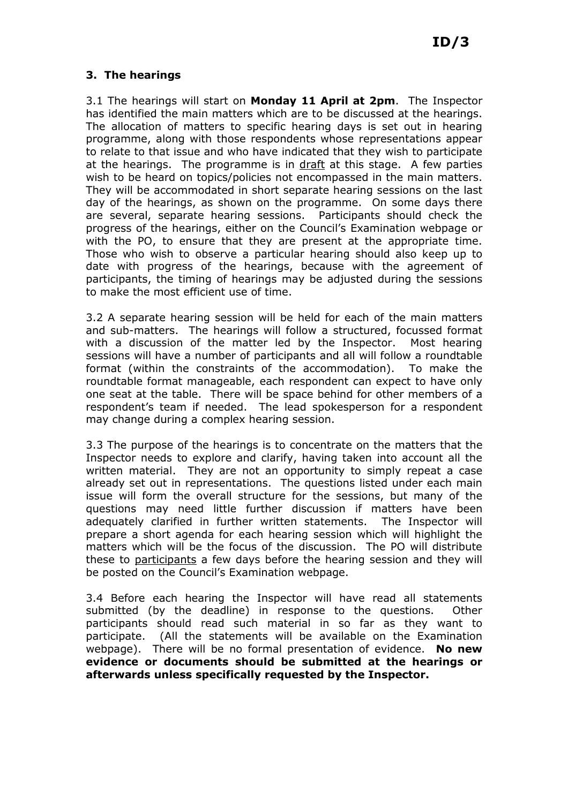## 3. The hearings

3.1 The hearings will start on Monday 11 April at 2pm. The Inspector has identified the main matters which are to be discussed at the hearings. The allocation of matters to specific hearing days is set out in hearing programme, along with those respondents whose representations appear to relate to that issue and who have indicated that they wish to participate at the hearings. The programme is in draft at this stage. A few parties wish to be heard on topics/policies not encompassed in the main matters. They will be accommodated in short separate hearing sessions on the last day of the hearings, as shown on the programme. On some days there are several, separate hearing sessions. Participants should check the progress of the hearings, either on the Council's Examination webpage or with the PO, to ensure that they are present at the appropriate time. Those who wish to observe a particular hearing should also keep up to date with progress of the hearings, because with the agreement of participants, the timing of hearings may be adjusted during the sessions to make the most efficient use of time.

3.2 A separate hearing session will be held for each of the main matters and sub-matters. The hearings will follow a structured, focussed format with a discussion of the matter led by the Inspector. Most hearing sessions will have a number of participants and all will follow a roundtable format (within the constraints of the accommodation). To make the roundtable format manageable, each respondent can expect to have only one seat at the table. There will be space behind for other members of a respondent's team if needed. The lead spokesperson for a respondent may change during a complex hearing session.

3.3 The purpose of the hearings is to concentrate on the matters that the Inspector needs to explore and clarify, having taken into account all the written material. They are not an opportunity to simply repeat a case already set out in representations. The questions listed under each main issue will form the overall structure for the sessions, but many of the questions may need little further discussion if matters have been adequately clarified in further written statements. The Inspector will prepare a short agenda for each hearing session which will highlight the matters which will be the focus of the discussion. The PO will distribute these to participants a few days before the hearing session and they will be posted on the Council's Examination webpage.

3.4 Before each hearing the Inspector will have read all statements submitted (by the deadline) in response to the questions. Other participants should read such material in so far as they want to participate. (All the statements will be available on the Examination webpage). There will be no formal presentation of evidence. No new evidence or documents should be submitted at the hearings or afterwards unless specifically requested by the Inspector.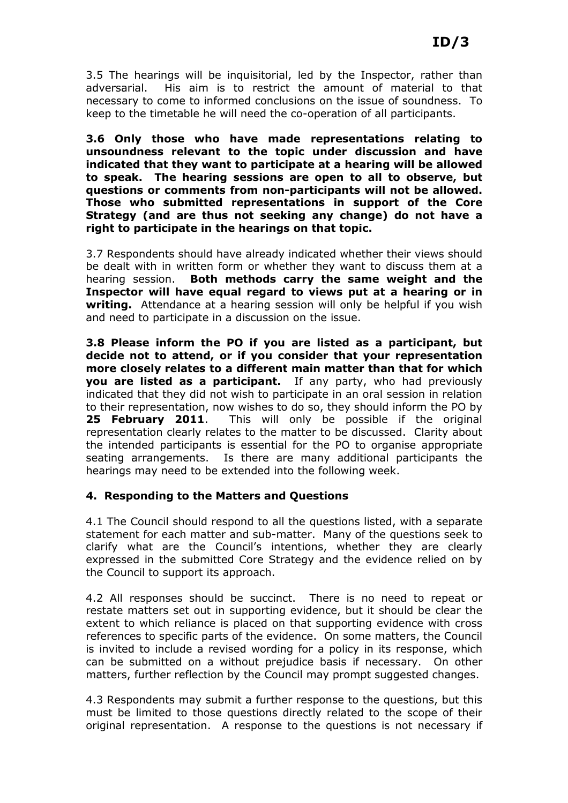3.5 The hearings will be inquisitorial, led by the Inspector, rather than adversarial. His aim is to restrict the amount of material to that necessary to come to informed conclusions on the issue of soundness. To keep to the timetable he will need the co-operation of all participants.

3.6 Only those who have made representations relating to unsoundness relevant to the topic under discussion and have indicated that they want to participate at a hearing will be allowed to speak. The hearing sessions are open to all to observe, but questions or comments from non-participants will not be allowed. Those who submitted representations in support of the Core Strategy (and are thus not seeking any change) do not have a right to participate in the hearings on that topic.

3.7 Respondents should have already indicated whether their views should be dealt with in written form or whether they want to discuss them at a hearing session. Both methods carry the same weight and the Inspector will have equal regard to views put at a hearing or in writing. Attendance at a hearing session will only be helpful if you wish and need to participate in a discussion on the issue.

3.8 Please inform the PO if you are listed as a participant, but decide not to attend, or if you consider that your representation more closely relates to a different main matter than that for which you are listed as a participant. If any party, who had previously indicated that they did not wish to participate in an oral session in relation to their representation, now wishes to do so, they should inform the PO by 25 February 2011. This will only be possible if the original representation clearly relates to the matter to be discussed. Clarity about the intended participants is essential for the PO to organise appropriate seating arrangements. Is there are many additional participants the hearings may need to be extended into the following week.

### 4. Responding to the Matters and Questions

4.1 The Council should respond to all the questions listed, with a separate statement for each matter and sub-matter. Many of the questions seek to clarify what are the Council's intentions, whether they are clearly expressed in the submitted Core Strategy and the evidence relied on by the Council to support its approach.

4.2 All responses should be succinct. There is no need to repeat or restate matters set out in supporting evidence, but it should be clear the extent to which reliance is placed on that supporting evidence with cross references to specific parts of the evidence. On some matters, the Council is invited to include a revised wording for a policy in its response, which can be submitted on a without prejudice basis if necessary. On other matters, further reflection by the Council may prompt suggested changes.

4.3 Respondents may submit a further response to the questions, but this must be limited to those questions directly related to the scope of their original representation. A response to the questions is not necessary if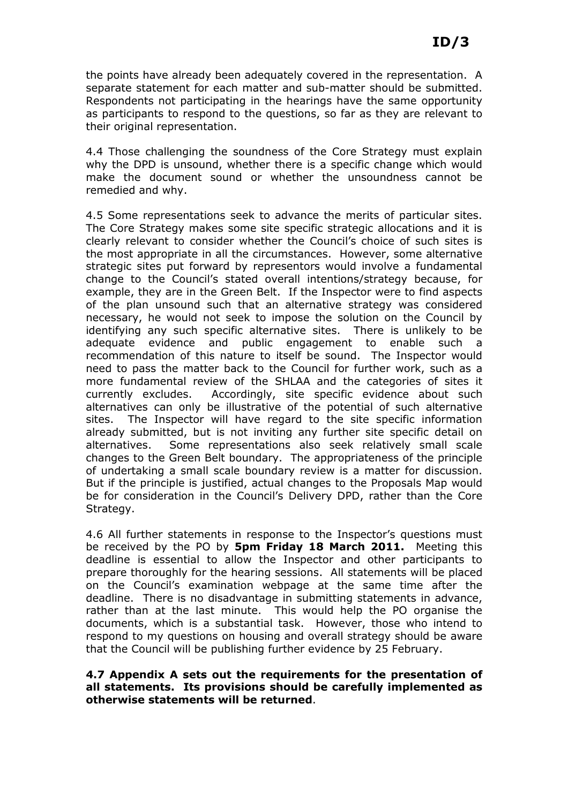the points have already been adequately covered in the representation. A separate statement for each matter and sub-matter should be submitted. Respondents not participating in the hearings have the same opportunity as participants to respond to the questions, so far as they are relevant to their original representation.

4.4 Those challenging the soundness of the Core Strategy must explain why the DPD is unsound, whether there is a specific change which would make the document sound or whether the unsoundness cannot be remedied and why.

4.5 Some representations seek to advance the merits of particular sites. The Core Strategy makes some site specific strategic allocations and it is clearly relevant to consider whether the Council's choice of such sites is the most appropriate in all the circumstances. However, some alternative strategic sites put forward by representors would involve a fundamental change to the Council's stated overall intentions/strategy because, for example, they are in the Green Belt. If the Inspector were to find aspects of the plan unsound such that an alternative strategy was considered necessary, he would not seek to impose the solution on the Council by identifying any such specific alternative sites. There is unlikely to be adequate evidence and public engagement to enable such a recommendation of this nature to itself be sound. The Inspector would need to pass the matter back to the Council for further work, such as a more fundamental review of the SHLAA and the categories of sites it currently excludes. Accordingly, site specific evidence about such alternatives can only be illustrative of the potential of such alternative sites. The Inspector will have regard to the site specific information already submitted, but is not inviting any further site specific detail on alternatives. Some representations also seek relatively small scale changes to the Green Belt boundary. The appropriateness of the principle of undertaking a small scale boundary review is a matter for discussion. But if the principle is justified, actual changes to the Proposals Map would be for consideration in the Council's Delivery DPD, rather than the Core Strategy.

4.6 All further statements in response to the Inspector's questions must be received by the PO by 5pm Friday 18 March 2011. Meeting this deadline is essential to allow the Inspector and other participants to prepare thoroughly for the hearing sessions. All statements will be placed on the Council's examination webpage at the same time after the deadline. There is no disadvantage in submitting statements in advance, rather than at the last minute. This would help the PO organise the documents, which is a substantial task. However, those who intend to respond to my questions on housing and overall strategy should be aware that the Council will be publishing further evidence by 25 February.

#### 4.7 Appendix A sets out the requirements for the presentation of all statements. Its provisions should be carefully implemented as otherwise statements will be returned.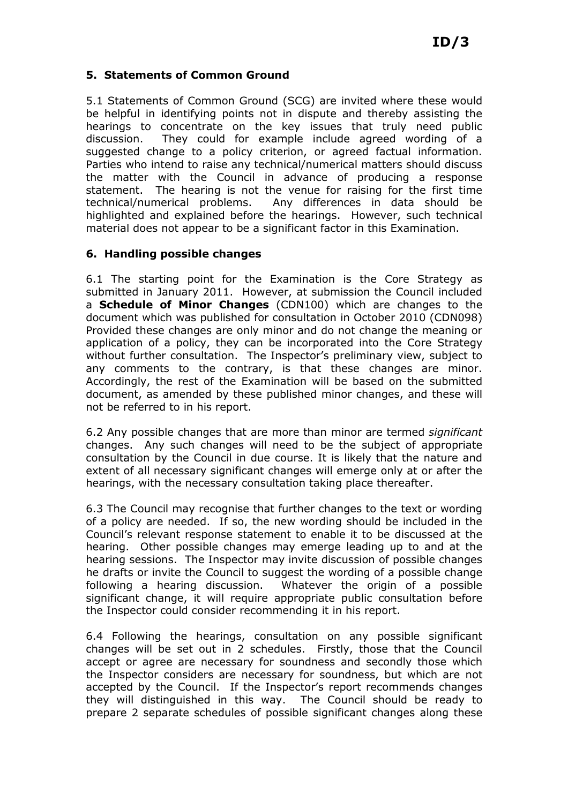#### 5. Statements of Common Ground

5.1 Statements of Common Ground (SCG) are invited where these would be helpful in identifying points not in dispute and thereby assisting the hearings to concentrate on the key issues that truly need public discussion. They could for example include agreed wording of a suggested change to a policy criterion, or agreed factual information. Parties who intend to raise any technical/numerical matters should discuss the matter with the Council in advance of producing a response statement. The hearing is not the venue for raising for the first time technical/numerical problems. Any differences in data should be highlighted and explained before the hearings. However, such technical material does not appear to be a significant factor in this Examination.

#### 6. Handling possible changes

6.1 The starting point for the Examination is the Core Strategy as submitted in January 2011. However, at submission the Council included a Schedule of Minor Changes (CDN100) which are changes to the document which was published for consultation in October 2010 (CDN098) Provided these changes are only minor and do not change the meaning or application of a policy, they can be incorporated into the Core Strategy without further consultation. The Inspector's preliminary view, subject to any comments to the contrary, is that these changes are minor. Accordingly, the rest of the Examination will be based on the submitted document, as amended by these published minor changes, and these will not be referred to in his report.

6.2 Any possible changes that are more than minor are termed significant changes. Any such changes will need to be the subject of appropriate consultation by the Council in due course. It is likely that the nature and extent of all necessary significant changes will emerge only at or after the hearings, with the necessary consultation taking place thereafter.

6.3 The Council may recognise that further changes to the text or wording of a policy are needed. If so, the new wording should be included in the Council's relevant response statement to enable it to be discussed at the hearing. Other possible changes may emerge leading up to and at the hearing sessions. The Inspector may invite discussion of possible changes he drafts or invite the Council to suggest the wording of a possible change following a hearing discussion. Whatever the origin of a possible significant change, it will require appropriate public consultation before the Inspector could consider recommending it in his report.

6.4 Following the hearings, consultation on any possible significant changes will be set out in 2 schedules. Firstly, those that the Council accept or agree are necessary for soundness and secondly those which the Inspector considers are necessary for soundness, but which are not accepted by the Council. If the Inspector's report recommends changes they will distinguished in this way. The Council should be ready to prepare 2 separate schedules of possible significant changes along these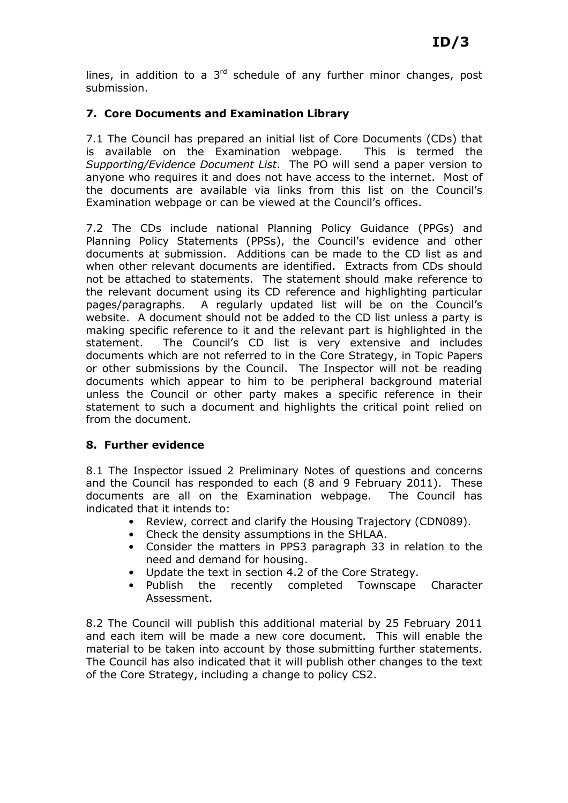lines, in addition to a  $3<sup>rd</sup>$  schedule of any further minor changes, post submission.

## 7. Core Documents and Examination Library

7.1 The Council has prepared an initial list of Core Documents (CDs) that is available on the Examination webpage. This is termed the Supporting/Evidence Document List. The PO will send a paper version to anyone who requires it and does not have access to the internet. Most of the documents are available via links from this list on the Council's Examination webpage or can be viewed at the Council's offices.

7.2 The CDs include national Planning Policy Guidance (PPGs) and Planning Policy Statements (PPSs), the Council's evidence and other documents at submission. Additions can be made to the CD list as and when other relevant documents are identified. Extracts from CDs should not be attached to statements. The statement should make reference to the relevant document using its CD reference and highlighting particular pages/paragraphs. A regularly updated list will be on the Council's website. A document should not be added to the CD list unless a party is making specific reference to it and the relevant part is highlighted in the statement. The Council's CD list is very extensive and includes documents which are not referred to in the Core Strategy, in Topic Papers or other submissions by the Council. The Inspector will not be reading documents which appear to him to be peripheral background material unless the Council or other party makes a specific reference in their statement to such a document and highlights the critical point relied on from the document.

### 8. Further evidence

8.1 The Inspector issued 2 Preliminary Notes of questions and concerns and the Council has responded to each (8 and 9 February 2011). These documents are all on the Examination webpage. The Council has indicated that it intends to:

- Review, correct and clarify the Housing Trajectory (CDN089).
- Check the density assumptions in the SHLAA.
- Consider the matters in PPS3 paragraph 33 in relation to the need and demand for housing.
- Update the text in section 4.2 of the Core Strategy.
- Publish the recently completed Townscape Character Assessment.

8.2 The Council will publish this additional material by 25 February 2011 and each item will be made a new core document. This will enable the material to be taken into account by those submitting further statements. The Council has also indicated that it will publish other changes to the text of the Core Strategy, including a change to policy CS2.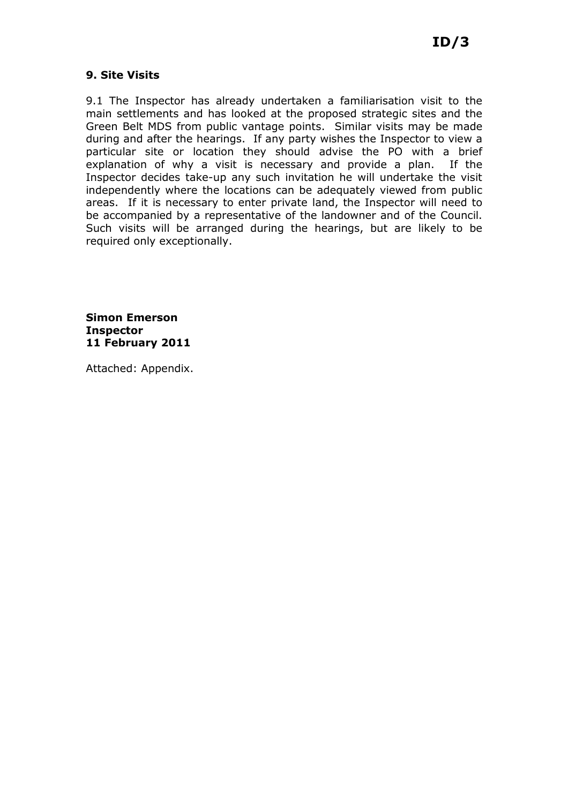## 9. Site Visits

9.1 The Inspector has already undertaken a familiarisation visit to the main settlements and has looked at the proposed strategic sites and the Green Belt MDS from public vantage points. Similar visits may be made during and after the hearings. If any party wishes the Inspector to view a particular site or location they should advise the PO with a brief explanation of why a visit is necessary and provide a plan. If the Inspector decides take-up any such invitation he will undertake the visit independently where the locations can be adequately viewed from public areas. If it is necessary to enter private land, the Inspector will need to be accompanied by a representative of the landowner and of the Council. Such visits will be arranged during the hearings, but are likely to be required only exceptionally.

Simon Emerson Inspector 11 February 2011

Attached: Appendix.